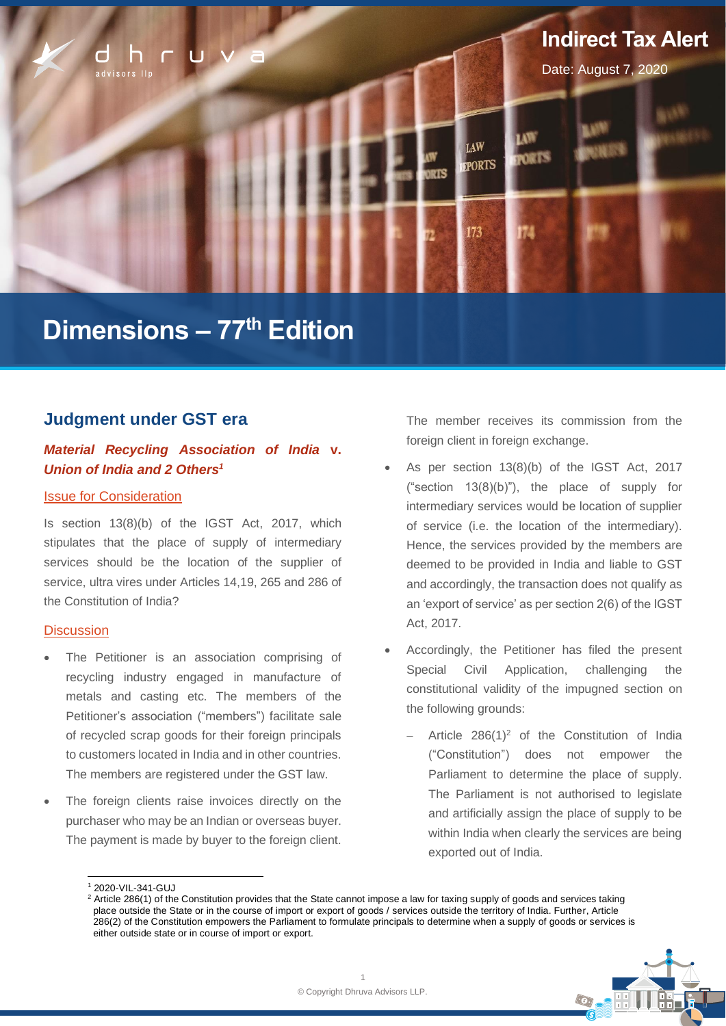

# **Dimensions – 77th Edition**

# **Judgment under GST era**

# *Material Recycling Association of India* **v.**  *Union of India and 2 Others<sup>1</sup>*

#### Issue for Consideration

Is section 13(8)(b) of the IGST Act, 2017, which stipulates that the place of supply of intermediary services should be the location of the supplier of service, ultra vires under Articles 14,19, 265 and 286 of the Constitution of India?

#### **Discussion**

- The Petitioner is an association comprising of recycling industry engaged in manufacture of metals and casting etc. The members of the Petitioner's association ("members") facilitate sale of recycled scrap goods for their foreign principals to customers located in India and in other countries. The members are registered under the GST law.
- The foreign clients raise invoices directly on the purchaser who may be an Indian or overseas buyer. The payment is made by buyer to the foreign client.

The member receives its commission from the foreign client in foreign exchange.

- As per section 13(8)(b) of the IGST Act, 2017 ("section 13(8)(b)"), the place of supply for intermediary services would be location of supplier of service (i.e. the location of the intermediary). Hence, the services provided by the members are deemed to be provided in India and liable to GST and accordingly, the transaction does not qualify as an 'export of service' as per section 2(6) of the IGST Act, 2017.
- Accordingly, the Petitioner has filed the present Special Civil Application, challenging the constitutional validity of the impugned section on the following grounds:
	- − Article 286(1)<sup>2</sup> of the Constitution of India ("Constitution") does not empower the Parliament to determine the place of supply. The Parliament is not authorised to legislate and artificially assign the place of supply to be within India when clearly the services are being exported out of India.

<sup>&</sup>lt;sup>2</sup> Article 286(1) of the Constitution provides that the State cannot impose a law for taxing supply of goods and services taking place outside the State or in the course of import or export of goods / services outside the territory of India. Further, Article 286(2) of the Constitution empowers the Parliament to formulate principals to determine when a supply of goods or services is either outside state or in course of import or export.



<sup>1</sup> 2020-VIL-341-GUJ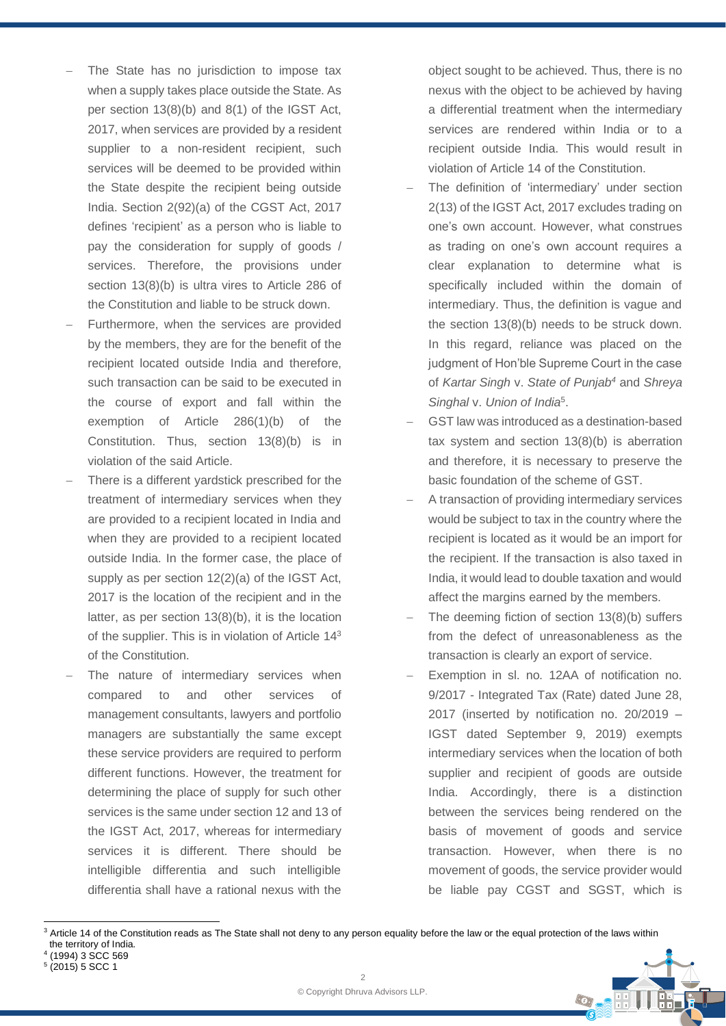- The State has no jurisdiction to impose tax when a supply takes place outside the State. As per section 13(8)(b) and 8(1) of the IGST Act, 2017, when services are provided by a resident supplier to a non-resident recipient, such services will be deemed to be provided within the State despite the recipient being outside India. Section 2(92)(a) of the CGST Act, 2017 defines 'recipient' as a person who is liable to pay the consideration for supply of goods / services. Therefore, the provisions under section 13(8)(b) is ultra vires to Article 286 of the Constitution and liable to be struck down.
- Furthermore, when the services are provided by the members, they are for the benefit of the recipient located outside India and therefore, such transaction can be said to be executed in the course of export and fall within the exemption of Article 286(1)(b) of the Constitution. Thus, section 13(8)(b) is in violation of the said Article.
- There is a different vardstick prescribed for the treatment of intermediary services when they are provided to a recipient located in India and when they are provided to a recipient located outside India. In the former case, the place of supply as per section 12(2)(a) of the IGST Act, 2017 is the location of the recipient and in the latter, as per section 13(8)(b), it is the location of the supplier. This is in violation of Article 14<sup>3</sup> of the Constitution.
- The nature of intermediary services when compared to and other services of management consultants, lawyers and portfolio managers are substantially the same except these service providers are required to perform different functions. However, the treatment for determining the place of supply for such other services is the same under section 12 and 13 of the IGST Act, 2017, whereas for intermediary services it is different. There should be intelligible differentia and such intelligible differentia shall have a rational nexus with the

object sought to be achieved. Thus, there is no nexus with the object to be achieved by having a differential treatment when the intermediary services are rendered within India or to a recipient outside India. This would result in violation of Article 14 of the Constitution.

- The definition of 'intermediary' under section 2(13) of the IGST Act, 2017 excludes trading on one's own account. However, what construes as trading on one's own account requires a clear explanation to determine what is specifically included within the domain of intermediary. Thus, the definition is vague and the section 13(8)(b) needs to be struck down. In this regard, reliance was placed on the judgment of Hon'ble Supreme Court in the case of *Kartar Singh* v. *State of Punjab<sup>4</sup>* and *Shreya Singhal* v. *Union of India*<sup>5</sup> .
- GST law was introduced as a destination-based tax system and section 13(8)(b) is aberration and therefore, it is necessary to preserve the basic foundation of the scheme of GST.
- A transaction of providing intermediary services would be subject to tax in the country where the recipient is located as it would be an import for the recipient. If the transaction is also taxed in India, it would lead to double taxation and would affect the margins earned by the members.
- The deeming fiction of section 13(8)(b) suffers from the defect of unreasonableness as the transaction is clearly an export of service.
- Exemption in sl. no. 12AA of notification no. 9/2017 - Integrated Tax (Rate) dated June 28, 2017 (inserted by notification no. 20/2019 – IGST dated September 9, 2019) exempts intermediary services when the location of both supplier and recipient of goods are outside India. Accordingly, there is a distinction between the services being rendered on the basis of movement of goods and service transaction. However, when there is no movement of goods, the service provider would be liable pay CGST and SGST, which is

 $\odot$ 

<sup>&</sup>lt;sup>3</sup> Article 14 of the Constitution reads as The State shall not deny to any person equality before the law or the equal protection of the laws within the territory of India.

<sup>4</sup> (1994) 3 SCC 569

<sup>5</sup> (2015) 5 SCC 1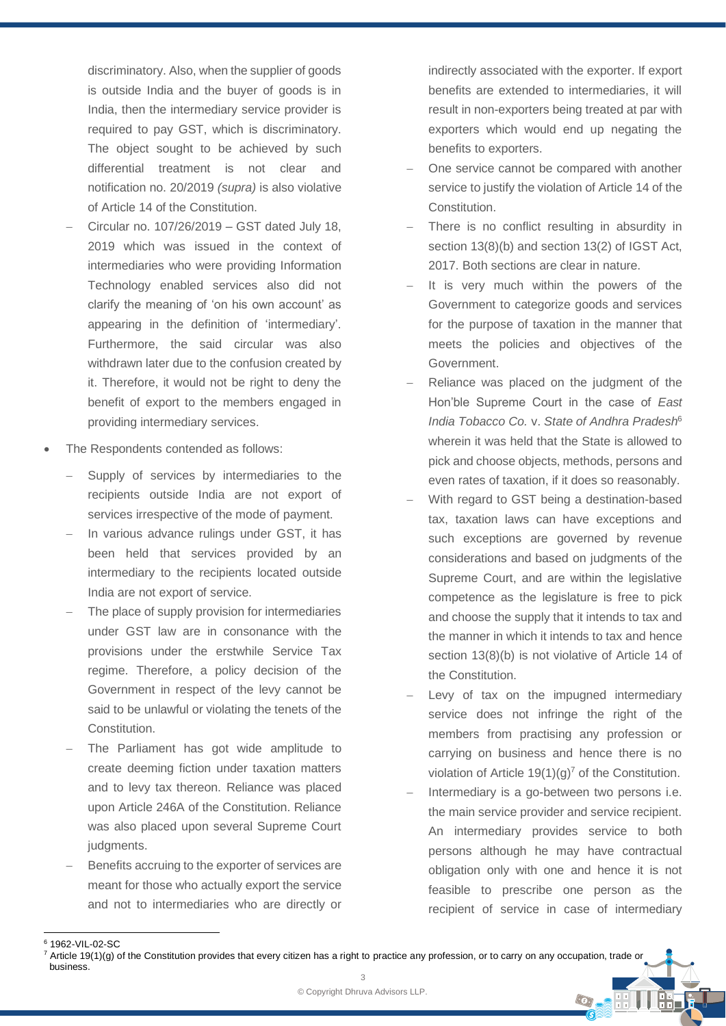discriminatory. Also, when the supplier of goods is outside India and the buyer of goods is in India, then the intermediary service provider is required to pay GST, which is discriminatory. The object sought to be achieved by such differential treatment is not clear and notification no. 20/2019 *(supra)* is also violative of Article 14 of the Constitution.

- − Circular no. 107/26/2019 GST dated July 18, 2019 which was issued in the context of intermediaries who were providing Information Technology enabled services also did not clarify the meaning of 'on his own account' as appearing in the definition of 'intermediary'. Furthermore, the said circular was also withdrawn later due to the confusion created by it. Therefore, it would not be right to deny the benefit of export to the members engaged in providing intermediary services.
- The Respondents contended as follows:
	- Supply of services by intermediaries to the recipients outside India are not export of services irrespective of the mode of payment.
	- In various advance rulings under GST, it has been held that services provided by an intermediary to the recipients located outside India are not export of service.
	- The place of supply provision for intermediaries under GST law are in consonance with the provisions under the erstwhile Service Tax regime. Therefore, a policy decision of the Government in respect of the levy cannot be said to be unlawful or violating the tenets of the Constitution.
	- The Parliament has got wide amplitude to create deeming fiction under taxation matters and to levy tax thereon. Reliance was placed upon Article 246A of the Constitution. Reliance was also placed upon several Supreme Court judgments.
	- Benefits accruing to the exporter of services are meant for those who actually export the service and not to intermediaries who are directly or

indirectly associated with the exporter. If export benefits are extended to intermediaries, it will result in non-exporters being treated at par with exporters which would end up negating the benefits to exporters.

- One service cannot be compared with another service to justify the violation of Article 14 of the Constitution.
- There is no conflict resulting in absurdity in section 13(8)(b) and section 13(2) of IGST Act, 2017. Both sections are clear in nature.
- It is very much within the powers of the Government to categorize goods and services for the purpose of taxation in the manner that meets the policies and objectives of the Government.
- Reliance was placed on the judgment of the Hon'ble Supreme Court in the case of *East India Tobacco Co.* v. *State of Andhra Pradesh*<sup>6</sup> wherein it was held that the State is allowed to pick and choose objects, methods, persons and even rates of taxation, if it does so reasonably.
- With regard to GST being a destination-based tax, taxation laws can have exceptions and such exceptions are governed by revenue considerations and based on judgments of the Supreme Court, and are within the legislative competence as the legislature is free to pick and choose the supply that it intends to tax and the manner in which it intends to tax and hence section 13(8)(b) is not violative of Article 14 of the Constitution.
- Levy of tax on the impugned intermediary service does not infringe the right of the members from practising any profession or carrying on business and hence there is no violation of Article  $19(1)(q)^7$  of the Constitution.
- Intermediary is a go-between two persons i.e. the main service provider and service recipient. An intermediary provides service to both persons although he may have contractual obligation only with one and hence it is not feasible to prescribe one person as the recipient of service in case of intermediary

 $\odot$ 

<sup>6</sup> 1962-VIL-02-SC

 $\overline{2}$  $^7$  Article 19(1)(g) of the Constitution provides that every citizen has a right to practice any profession, or to carry on any occupation, trade or business.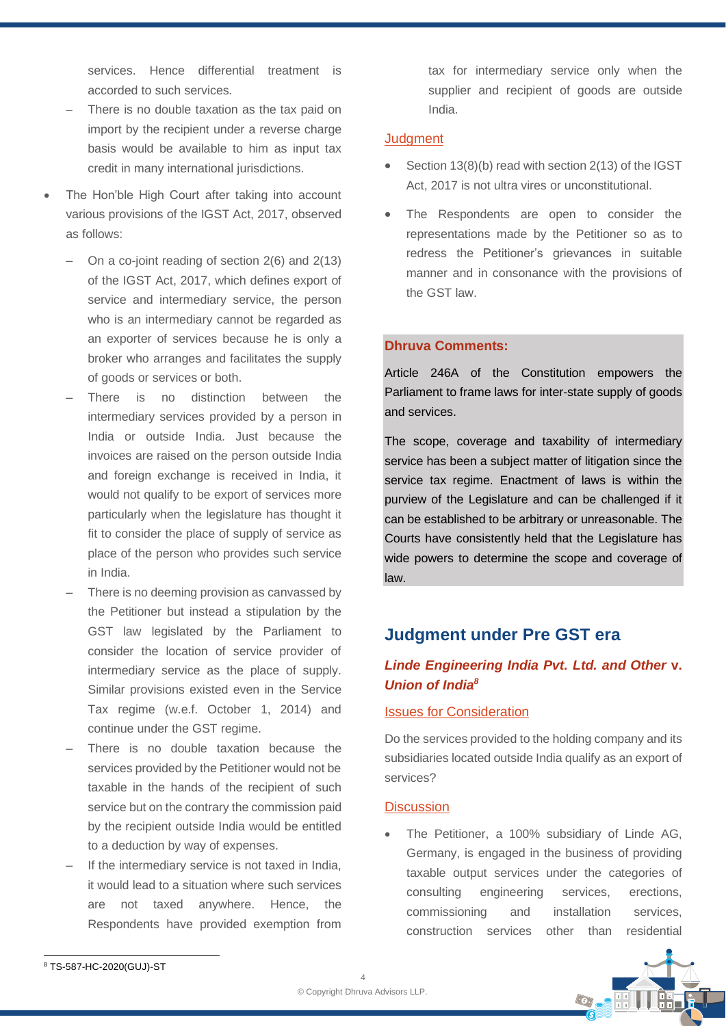services. Hence differential treatment is accorded to such services.

- There is no double taxation as the tax paid on import by the recipient under a reverse charge basis would be available to him as input tax credit in many international jurisdictions.
- The Hon'ble High Court after taking into account various provisions of the IGST Act, 2017, observed as follows:
	- ‒ On a co-joint reading of section 2(6) and 2(13) of the IGST Act, 2017, which defines export of service and intermediary service, the person who is an intermediary cannot be regarded as an exporter of services because he is only a broker who arranges and facilitates the supply of goods or services or both.
	- There is no distinction between the intermediary services provided by a person in India or outside India. Just because the invoices are raised on the person outside India and foreign exchange is received in India, it would not qualify to be export of services more particularly when the legislature has thought it fit to consider the place of supply of service as place of the person who provides such service in India.
	- There is no deeming provision as canvassed by the Petitioner but instead a stipulation by the GST law legislated by the Parliament to consider the location of service provider of intermediary service as the place of supply. Similar provisions existed even in the Service Tax regime (w.e.f. October 1, 2014) and continue under the GST regime.
	- There is no double taxation because the services provided by the Petitioner would not be taxable in the hands of the recipient of such service but on the contrary the commission paid by the recipient outside India would be entitled to a deduction by way of expenses.
	- If the intermediary service is not taxed in India. it would lead to a situation where such services are not taxed anywhere. Hence, the Respondents have provided exemption from

tax for intermediary service only when the supplier and recipient of goods are outside India.

#### **Judgment**

- Section 13(8)(b) read with section 2(13) of the IGST Act, 2017 is not ultra vires or unconstitutional.
- The Respondents are open to consider the representations made by the Petitioner so as to redress the Petitioner's grievances in suitable manner and in consonance with the provisions of the GST law.

## **Dhruva Comments:**

Article 246A of the Constitution empowers the Parliament to frame laws for inter-state supply of goods and services.

The scope, coverage and taxability of intermediary service has been a subject matter of litigation since the service tax regime. Enactment of laws is within the purview of the Legislature and can be challenged if it can be established to be arbitrary or unreasonable. The Courts have consistently held that the Legislature has wide powers to determine the scope and coverage of law.

# **Judgment under Pre GST era**

# *Linde Engineering India Pvt. Ltd. and Other* **v.** *Union of India<sup>8</sup>*

#### Issues for Consideration

Do the services provided to the holding company and its subsidiaries located outside India qualify as an export of services?

#### **Discussion**

• The Petitioner, a 100% subsidiary of Linde AG, Germany, is engaged in the business of providing taxable output services under the categories of consulting engineering services, erections, commissioning and installation services, construction services other than residential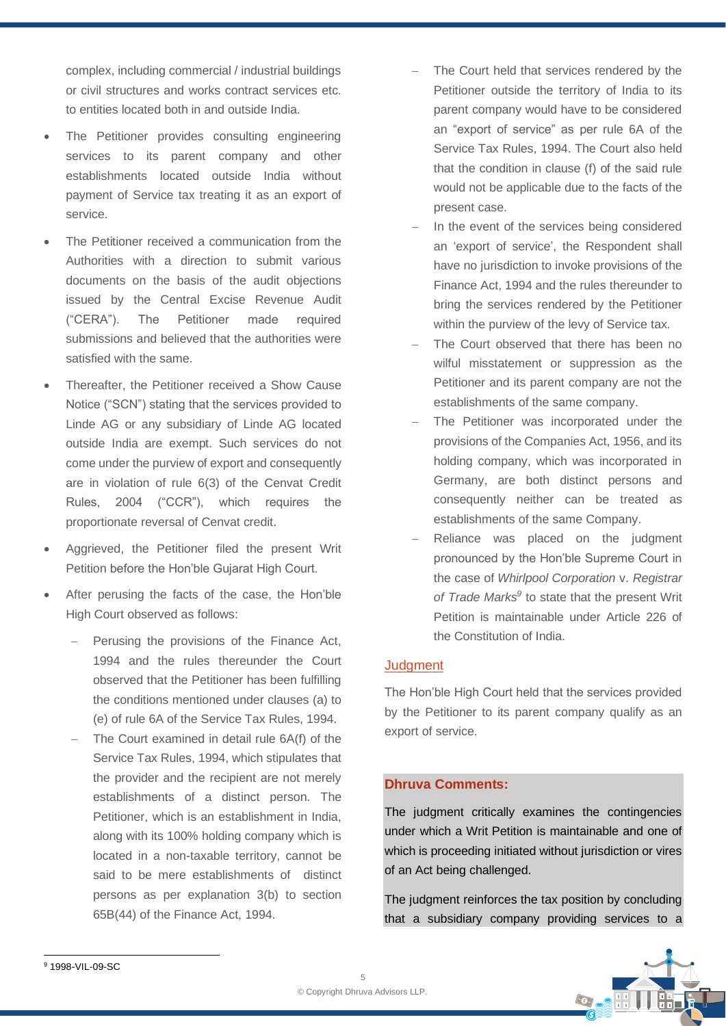complex, including commercial / industrial buildings or civil structures and works contract services etc. to entities located both in and outside India.

- The Petitioner provides consulting engineering services to its parent company and other establishments located outside India without payment of Service tax treating it as an export of service.
- The Petitioner received a communication from the Authorities with a direction to submit various documents on the basis of the audit objections issued by the Central Excise Revenue Audit ("CERA"). The Petitioner made required submissions and believed that the authorities were satisfied with the same.
- Thereafter, the Petitioner received a Show Cause Notice ("SCN") stating that the services provided to Linde AG or any subsidiary of Linde AG located outside India are exempt. Such services do not come under the purview of export and consequently are in violation of rule 6(3) of the Cenvat Credit Rules, 2004 ("CCR"), which requires the proportionate reversal of Cenvat credit.
- Aggrieved, the Petitioner filed the present Writ Petition before the Hon'ble Gujarat High Court.
- After perusing the facts of the case, the Hon'ble High Court observed as follows:
	- − Perusing the provisions of the Finance Act, 1994 and the rules thereunder the Court observed that the Petitioner has been fulfilling the conditions mentioned under clauses (a) to (e) of rule 6A of the Service Tax Rules, 1994.
	- The Court examined in detail rule 6A(f) of the Service Tax Rules, 1994, which stipulates that the provider and the recipient are not merely establishments of a distinct person. The Petitioner, which is an establishment in India, along with its 100% holding company which is located in a non-taxable territory, cannot be said to be mere establishments of distinct persons as per explanation 3(b) to section 65B(44) of the Finance Act, 1994.
- The Court held that services rendered by the Petitioner outside the territory of India to its parent company would have to be considered an "export of service" as per rule 6A of the Service Tax Rules, 1994. The Court also held that the condition in clause (f) of the said rule would not be applicable due to the facts of the present case.
- In the event of the services being considered an 'export of service', the Respondent shall have no jurisdiction to invoke provisions of the Finance Act, 1994 and the rules thereunder to bring the services rendered by the Petitioner within the purview of the levy of Service tax.
- The Court observed that there has been no wilful misstatement or suppression as the Petitioner and its parent company are not the establishments of the same company.
- The Petitioner was incorporated under the provisions of the Companies Act, 1956, and its holding company, which was incorporated in Germany, are both distinct persons and consequently neither can be treated as establishments of the same Company.
- Reliance was placed on the judgment pronounced by the Hon'ble Supreme Court in the case of *Whirlpool Corporation* v. *Registrar*  of Trade Marks<sup>9</sup> to state that the present Writ Petition is maintainable under Article 226 of the Constitution of India.

### **Judgment**

The Hon'ble High Court held that the services provided by the Petitioner to its parent company qualify as an export of service.

### **Dhruva Comments:**

The judgment critically examines the contingencies under which a Writ Petition is maintainable and one of which is proceeding initiated without jurisdiction or vires of an Act being challenged.

The judgment reinforces the tax position by concluding that a subsidiary company providing services to a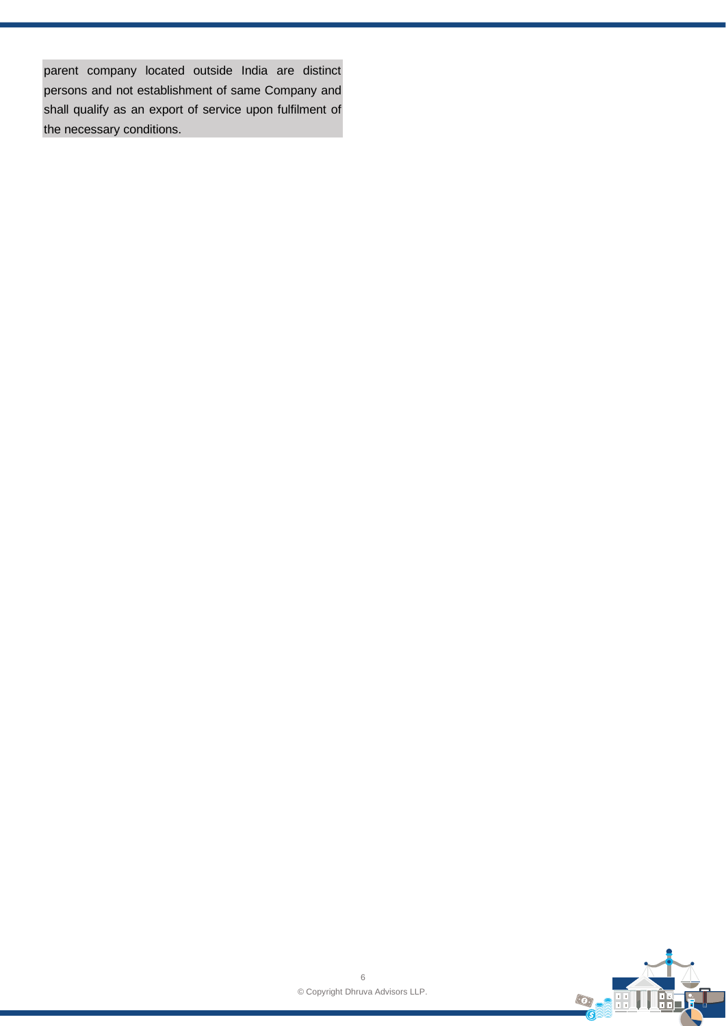parent company located outside India are distinct persons and not establishment of same Company and shall qualify as an export of service upon fulfilment of the necessary conditions.